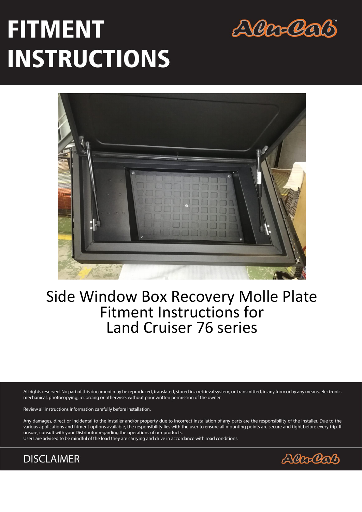# **FITMENT INSTRUCTIONS**





## Side Window Box Recovery Molle Plate **Fitment Instructions for Land Cruiser 76 series**

All rights reserved. No part of this document may be reproduced, translated, stored in a retrieval system, or transmitted, in any form or by any means, electronic, mechanical, photocopying, recording or otherwise, without prior written permission of the owner.

Review all instructions information carefully before installation.

Any damages, direct or incidental to the installer and/or property due to incorrect installation of any parts are the responsibility of the installer. Due to the various applications and fitment options available, the responsibility lies with the user to ensure all mounting points are secure and tight before every trip. If unsure, consult with your Distributor regarding the operations of our products.

Users are advised to be mindful of the load they are carrying and drive in accordance with road conditions.



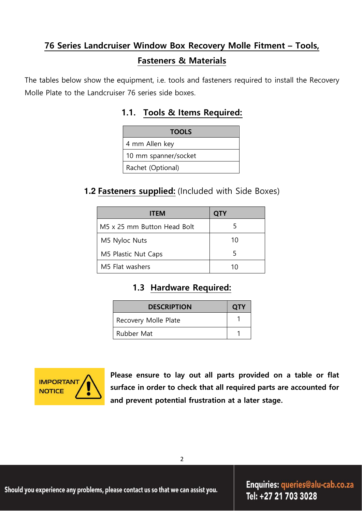## **76 Series Landcruiser Window Box Recovery Molle Fitment – Tools, Fasteners & Materials**

The tables below show the equipment, i.e. tools and fasteners required to install the Recovery Molle Plate to the Landcruiser 76 series side boxes.

## **1.1. Tools & Items Required:**

| <b>TOOLS</b>         |
|----------------------|
| 4 mm Allen key       |
| 10 mm spanner/socket |
| Rachet (Optional)    |

## **1.2 Fasteners supplied:** (Included with Side Boxes)

| <b>ITEM</b>                 | <b>QTY</b> |
|-----------------------------|------------|
| M5 x 25 mm Button Head Bolt |            |
| M5 Nyloc Nuts               | 10         |
| M5 Plastic Nut Caps         |            |
| M5 Flat washers             | 10         |

## **1.3 Hardware Required:**

| <b>DESCRIPTION</b>   | <b>OTY</b> |
|----------------------|------------|
| Recovery Molle Plate |            |
| <b>Rubber Mat</b>    |            |



**Please ensure to lay out all parts provided on a table or flat surface in order to check that all required parts are accounted for and prevent potential frustration at a later stage.**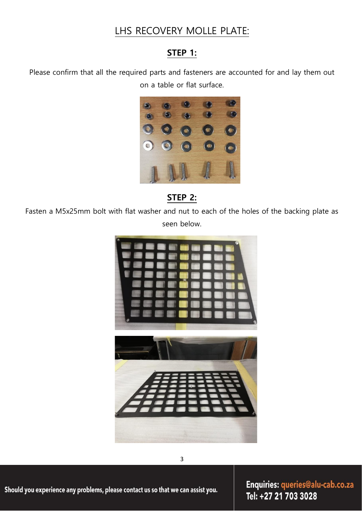## LHS RECOVERY MOLLE PLATE:

## **STEP 1:**

Please confirm that all the required parts and fasteners are accounted for and lay them out on a table or flat surface.



**STEP 2:** 

Fasten a M5x25mm bolt with flat washer and nut to each of the holes of the backing plate as seen below.



Should you experience any problems, please contact us so that we can assist you.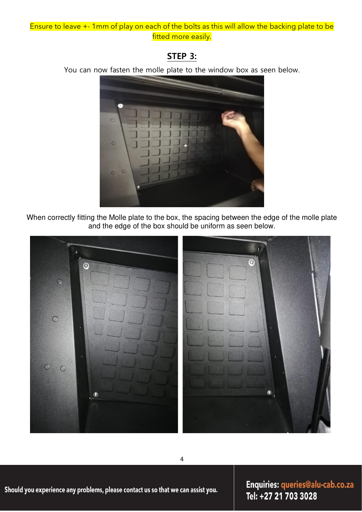#### Ensure to leave +- 1mm of play on each of the bolts as this will allow the backing plate to be fitted more easily.

## **STEP 3:**

You can now fasten the molle plate to the window box as seen below.



When correctly fitting the Molle plate to the box, the spacing between the edge of the molle plate and the edge of the box should be uniform as seen below.



Should you experience any problems, please contact us so that we can assist you.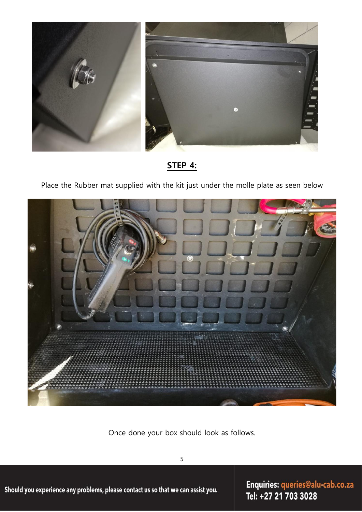

**STEP 4:**

Place the Rubber mat supplied with the kit just under the molle plate as seen below



Once done your box should look as follows.

5

Should you experience any problems, please contact us so that we can assist you.